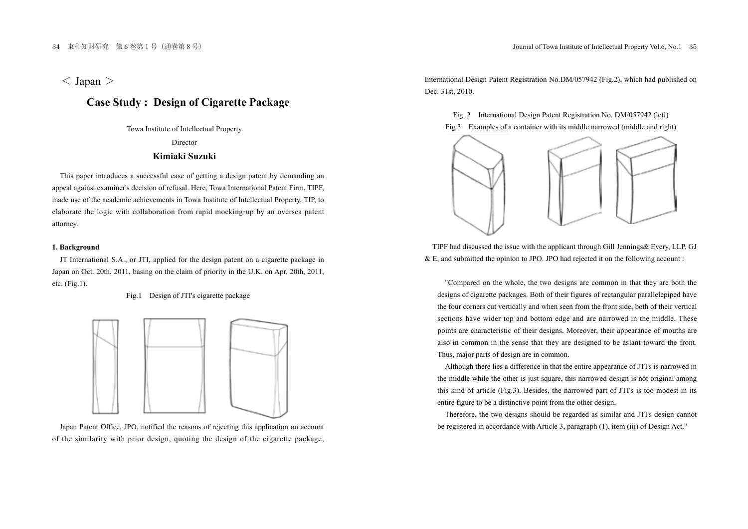$<$  Japan  $>$ 

# **Case Study : Design of Cigarette Package**

Towa Institute of Intellectual Property Director **Kimiaki Suzuki**

This paper introduces a successful case of getting a design patent by demanding an appeal against examiner's decision of refusal. Here, Towa International Patent Firm, TIPF, made use of the academic achievements in Towa Institute of Intellectual Property, TIP, to elaborate the logic with collaboration from rapid mocking-up by an oversea patent attorney.

### **1. Background**

JT International S.A., or JTI, applied for the design patent on a cigarette package in Japan on Oct. 20th, 2011, basing on the claim of priority in the U.K. on Apr. 20th, 2011, etc. (Fig.1).

Fig.1 Design of JTI's cigarette package



Japan Patent Office, JPO, notified the reasons of rejecting this application on account of the similarity with prior design, quoting the design of the cigarette package, International Design Patent Registration No.DM/057942 (Fig.2), which had published on Dec. 31st, 2010.

Fig. 2 International Design Patent Registration No. DM/057942 (left) Fig.3 Examples of a container with its middle narrowed (middle and right)



TIPF had discussed the issue with the applicant through Gill Jennings& Every, LLP, GJ & E, and submitted the opinion to JPO. JPO had rejected it on the following account :

"Compared on the whole, the two designs are common in that they are both the designs of cigarette packages. Both of their figures of rectangular parallelepiped have the four corners cut vertically and when seen from the front side, both of their vertical sections have wider top and bottom edge and are narrowed in the middle. These points are characteristic of their designs. Moreover, their appearance of mouths are also in common in the sense that they are designed to be aslant toward the front. Thus, major parts of design are in common.

Although there lies a difference in that the entire appearance of JTI's is narrowed in the middle while the other is just square, this narrowed design is not original among this kind of article (Fig.3). Besides, the narrowed part of JTI's is too modest in its entire figure to be a distinctive point from the other design.

Therefore, the two designs should be regarded as similar and JTI's design cannot be registered in accordance with Article 3, paragraph (1), item (iii) of Design Act."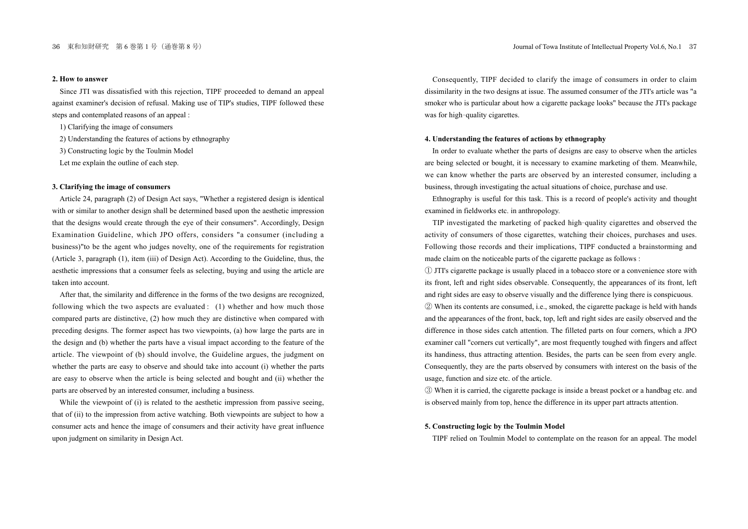### **2. How to answer**

Since JTI was dissatisfied with this rejection, TIPF proceeded to demand an appeal against examiner's decision of refusal. Making use of TIP's studies, TIPF followed these steps and contemplated reasons of an appeal :

1) Clarifying the image of consumers

2) Understanding the features of actions by ethnography

3) Constructing logic by the Toulmin Model

Let me explain the outline of each step.

### **3. Clarifying the image of consumers**

Article 24, paragraph (2) of Design Act says, "Whether a registered design is identical with or similar to another design shall be determined based upon the aesthetic impression that the designs would create through the eye of their consumers". Accordingly, Design Examination Guideline, which JPO offers, considers "a consumer (including a business)"to be the agent who judges novelty, one of the requirements for registration (Article 3, paragraph (1), item (iii) of Design Act). According to the Guideline, thus, the aesthetic impressions that a consumer feels as selecting, buying and using the article are taken into account.

After that, the similarity and difference in the forms of the two designs are recognized, following which the two aspects are evaluated : (1) whether and how much those compared parts are distinctive, (2) how much they are distinctive when compared with preceding designs. The former aspect has two viewpoints, (a) how large the parts are in the design and (b) whether the parts have a visual impact according to the feature of the article. The viewpoint of (b) should involve, the Guideline argues, the judgment on whether the parts are easy to observe and should take into account (i) whether the parts are easy to observe when the article is being selected and bought and (ii) whether the parts are observed by an interested consumer, including a business.

While the viewpoint of (i) is related to the aesthetic impression from passive seeing, that of (ii) to the impression from active watching. Both viewpoints are subject to how a consumer acts and hence the image of consumers and their activity have great influence upon judgment on similarity in Design Act.

Consequently, TIPF decided to clarify the image of consumers in order to claim dissimilarity in the two designs at issue. The assumed consumer of the JTI's article was "a smoker who is particular about how a cigarette package looks" because the JTI's package was for high-quality cigarettes.

#### **4. Understanding the features of actions by ethnography**

In order to evaluate whether the parts of designs are easy to observe when the articles are being selected or bought, it is necessary to examine marketing of them. Meanwhile, we can know whether the parts are observed by an interested consumer, including a business, through investigating the actual situations of choice, purchase and use.

Ethnography is useful for this task. This is a record of people's activity and thought examined in fieldworks etc. in anthropology.

TIP investigated the marketing of packed high-quality cigarettes and observed the activity of consumers of those cigarettes, watching their choices, purchases and uses. Following those records and their implications, TIPF conducted a brainstorming and made claim on the noticeable parts of the cigarette package as follows :

ձ JTI's cigarette package is usually placed in a tobacco store or a convenience store with its front, left and right sides observable. Consequently, the appearances of its front, left and right sides are easy to observe visually and the difference lying there is conspicuous. ղ When its contents are consumed, i.e., smoked, the cigarette package is held with hands and the appearances of the front, back, top, left and right sides are easily observed and the difference in those sides catch attention. The filleted parts on four corners, which a JPO examiner call "corners cut vertically", are most frequently toughed with fingers and affect its handiness, thus attracting attention. Besides, the parts can be seen from every angle. Consequently, they are the parts observed by consumers with interest on the basis of the usage, function and size etc. of the article.

ճ When it is carried, the cigarette package is inside a breast pocket or a handbag etc. and is observed mainly from top, hence the difference in its upper part attracts attention.

## **5. Constructing logic by the Toulmin Model**

TIPF relied on Toulmin Model to contemplate on the reason for an appeal. The model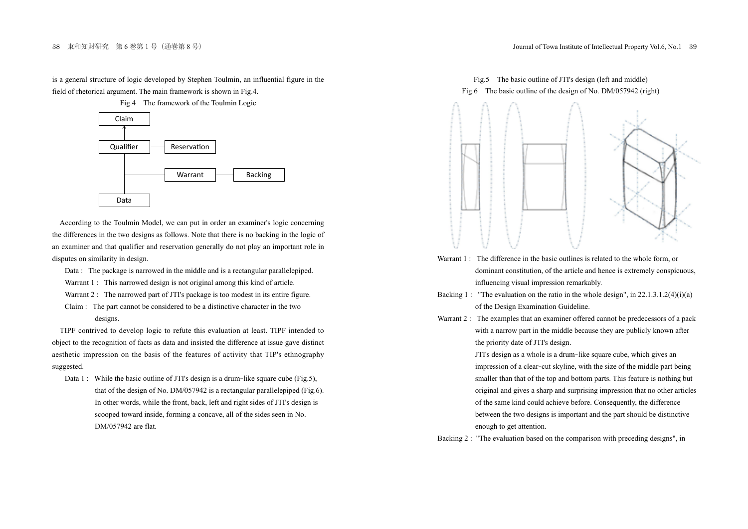is a general structure of logic developed by Stephen Toulmin, an influential figure in the field of rhetorical argument. The main framework is shown in Fig.4.

Fig.4 The framework of the Toulmin Logic



According to the Toulmin Model, we can put in order an examiner's logic concerning the differences in the two designs as follows. Note that there is no backing in the logic of an examiner and that qualifier and reservation generally do not play an important role in disputes on similarity in design.

- Data : The package is narrowed in the middle and is a rectangular parallelepiped.
- Warrant 1 : This narrowed design is not original among this kind of article.
- Warrant 2 : The narrowed part of JTI's package is too modest in its entire figure.
- Claim : The part cannot be considered to be a distinctive character in the two designs.

TIPF contrived to develop logic to refute this evaluation at least. TIPF intended to object to the recognition of facts as data and insisted the difference at issue gave distinct aesthetic impression on the basis of the features of activity that TIP's ethnography suggested.

Data 1: While the basic outline of JTI's design is a drum-like square cube (Fig.5), that of the design of No. DM/057942 is a rectangular parallelepiped (Fig.6). In other words, while the front, back, left and right sides of JTI's design is scooped toward inside, forming a concave, all of the sides seen in No. DM/057942 are flat.



- Warrant 1 : The difference in the basic outlines is related to the whole form, or dominant constitution, of the article and hence is extremely conspicuous, influencing visual impression remarkably.
- Backing 1 : "The evaluation on the ratio in the whole design", in  $22.1.3.1.2(4)(i)(a)$ of the Design Examination Guideline.
- Warrant 2 : The examples that an examiner offered cannot be predecessors of a pack with a narrow part in the middle because they are publicly known after the priority date of JTI's design.

JTI's design as <sup>a</sup> whole is <sup>a</sup> drum-like square cube, which gives an impression of <sup>a</sup> clear-cut skyline, with the size of the middle part being smaller than that of the top and bottom parts. This feature is nothing but original and gives a sharp and surprising impression that no other articles of the same kind could achieve before. Consequently, the difference between the two designs is important and the part should be distinctive enough to get attention.

Backing 2 : "The evaluation based on the comparison with preceding designs", in